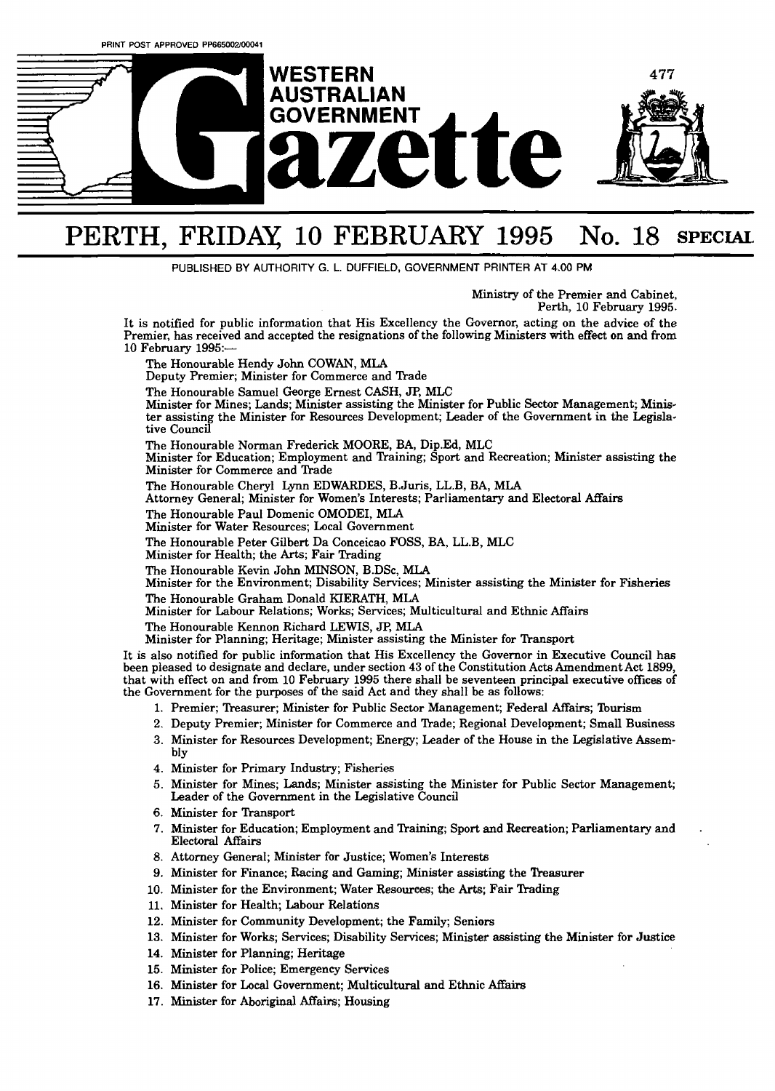

## PERTH, **FRIDAY 10** FEBRUARY **1995 No.** 18 **SPECIAL**

**PUBLISHED BY AUTHORITY G. L. DUFFIELD, GOVERNMENT PRIMER AT 4.00 PM** 

Ministry of the Premier and Cabinet, Perth, 10 February 1995.

It is notified for public information that His Excellency the Governor, acting on the advice of the Premier, has received and accepted the resignations of the following Ministers with effect on and from **10** February 1995:-

The Honourable Hendy John COWAN, MLA

Deputy Premier; Minister for Commerce and Trade

The Honourable Samuel George Ernest CASH, JP, MLC

Minister for Mines; Lands; Minister assisting the Minister for Public Sector Management; **Minis**ter assisting the Minister for Resources Development; Leader of the Government in the Legislative Council

The Honourable Norman Frederick MOORE, BA, Dip.Ed, MLC

Minister for Education; Employment and Training; Sport and Recreation; Minister assisting the Minister for Commerce and Trade

The Honourable Cheryl Lynn EDWARDES, B.Juris, LL.B, BA, **MLA** 

Attorney General; Minister for Women's Interests; Parliamentary and Electoral Affairs

The Honourable Paul Domenic OMODEI, MLA

Minister for Water Resources; Local Government

The Honourable Peter Gilbert Da Conceicao FOSS, BA, LL.B, MLC

Minister for Health; the Arts; Fair Trading

The Honourable Kevin John MINSON, B.DSc, **MLA** 

Minister for the Environment; Disability Services; Minister assisting the Minister for Fisheries The Honourable Graham Donald KIERATH, MLA

Minister for Labour Relations; Works; Services; Multicultural and Ethnic Affairs

The Honourable Kennon Richard LEWIS, *JP,* MLA

Minister for Planning; Heritage; Minister assisting the Minister for Transport

It is also notified for public information that His Excellency the Governor in Executive Council has been pieased to designate and declare, under section 43 of the Constitution Acts Amendment Act 1899, that with effect on and from 10 February 1995 there shall be seventeen principal executive offices of the Government for the purposes of the said Act and they shall be as follows:

- 1. Premier; Treasurer; Minister for Public Sector Management; Federal Affairs; Tourism
- 2. Deputy Premier; Minister for Commerce and Trade; Regional Development; Small Business
- 3. Minister for Resources Development; Energy; Leader of the House in the Legislative Assembly
- 4. Minister for Primary Industry; Fisheries
- Minister for Mines; **Lands;** Minister assisting the Minister for Public Sector Management; Leader of the Government in the Legislative Council
- Minister for Transport
- 7. Minister for Education; Employment and Training; Sport and Recreation; Parliamentary and . Electoral Affairs
- 8. Attorney General; Minister for Justice; Women's Interests
- Minister for Finance; Racing and **Gaming;** Minister assisting the 'hasurer
- 10. Minister for the Environment; Water Resources; the Arts; Fair Trading
- 11. Minister for Health; Labour Relations
- 12. Minister for Community Development; the Family; Seniors
- 13. Minister for Works; Services; Disability Services; Minister assisting the Minister for Justice
- 14. Minister for Planning; Heritage
- 15. Minister for Police; Emergency Services
- 16. Minister for Local Government; Multicultural and Ethnic Affairs
- 17. Minister for Aboriginal Affairs; Housing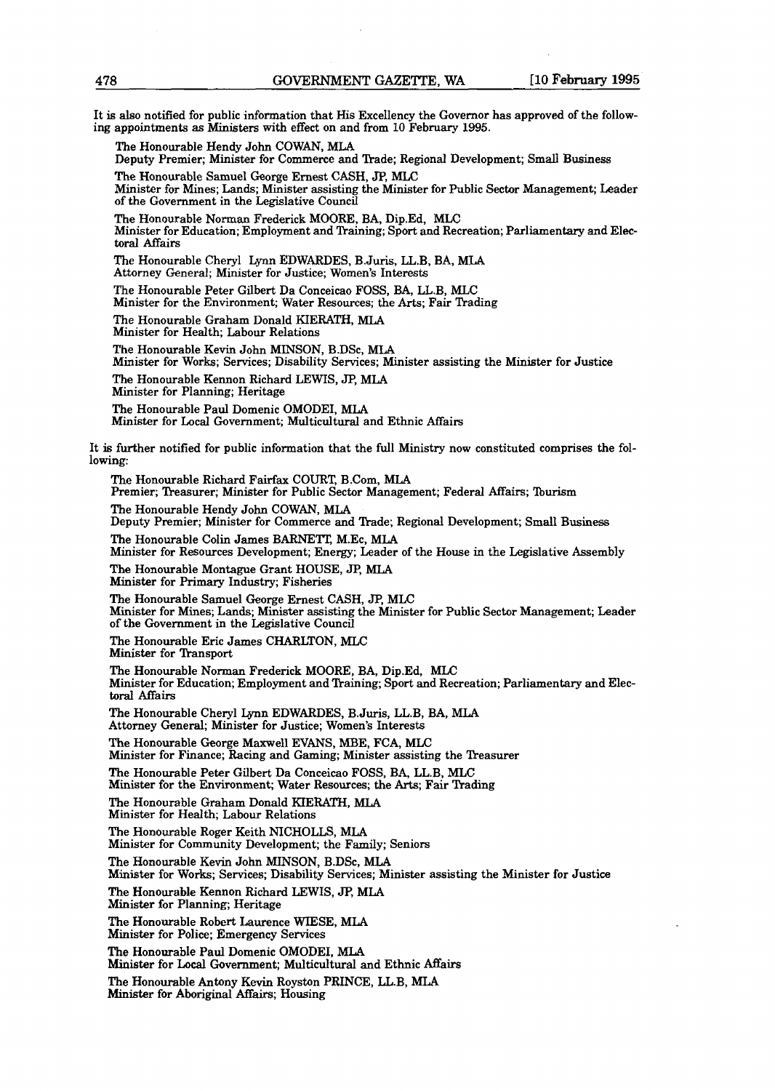It is also notified for public information that His Excellency the Governor has approved of the following appointments **as** Ministers with effect on and from **10** February 1995.

The Honourable Hendy John COWAN, MIA

Deputy Premier; Minister for Commerce and Trade; Regional Development; Small Business

**The** Honourable Samuel George Ernest CASH, JP, MLC

Minister for Mines; Lands; Minister assisting the Minister for Public Sector Management; Leader of the Government in the Legislative Council

The Honourable Norman Frederick MOORE, BA, Dip.Ed, **MLC**  Minister for Education; Employment and Training; Sport and Recreation; Parliamentary and Electoral Affairs

The Honourable Cheryl Lynn EDWARDES, BJuris, LL.B, BA, **MLA**  Attorney General; Minister for Justice; Women's Interests

The Honourable Peter Gilbert Da Conceicao FOSS, BA, LL.B, **MLC**  Minister for the Environment; Water Resources; the Arts; Fair Trading

The Honourable Graham Donald KIERATH, MLA Minister for Health; Labour Relations

The Honourable Kevin John MINSON, B.DSc, MLA Minister for Works; Services; Disability Services; Minister assisting the Minister for Justice

The Honourable Kennon Richard LEWIS, JP, MLA

The Honourable Richard **Fairfax** COURT, B.Com, MLA

Minister for Planning; Heritage

The Honourable Paul Domenic OMODEI, MLA Minister for Local Government; Multicultural and Ethnic Affairs

It is further notified for public information that the full Ministry now constituted comprises the following:

Premier; Treasurer; Minister for Public Sector Management; Federal Affairs; Tourism The Honourable Hendy John COWAN, MLA Deputy Premier; Minister for Commerce and Trade; Regional Development; Small Business The Honourable Colin James BARNETT, M.Ec, MLA Minister for Resources Development; Energy; Leader of the House in the Legislative Assembly The Honourable Montague Grant HOUSE, JP, MLA Minister for Primary Industry; Fisheries The Honourable Samuel George Ernest CASH, JP, MLC Minister for Mines; Lands; Minister assisting the Minister for Public Sector Management; Leader of the Government in the Legislative Council The Honourable Eric James CHARLTON, MLC Minister for Transport The Honourable Norman Frederick MOORE, BA, Dip.Ed, MLC Minister for Education; Employment and Training; Sport and Recreation; Parliamentary and Electoral Affairs The Honourable Cheryl Lynn EDWARDES, B.Juris, LL.B, BA, **MLA**  Attorney General; Minister for Justice; Women's Interests **The** Honourable George Maxwell EVANS, MBE, FCA, MLC Minister for Finance; Racing and Gaming; Minister assisting the Treasurer **The** Honourable Peter Gilbert Da Conceicao FOSS, BA, LL.B, **MLC**  Minister for the Environment; Water Resources; the Arts; Fair Trading The Honourable Graham Donald KIERATH, MLA Minister for Health; Labour Relations The Honourable Roger Keith NICHOLLS, MLA Minister for Community Development; the Family; Seniors The Honourable Kevin John MINSON, B.DSc, MU Minister for Works; Services; Disability Services; Minister assisting the Minister for Justice The Honourable Kennon Richard LEWIS, JP, MLA Minister for Planning; Heritage The Honourable Robert Laurence WIESE, MLA Minister for Police; Emergency Services The Honourable Paul Domenic OMODEI, **MLA Minister** for **Local** Government; Multicultural and Ethnic Affairs The Honourable Antony Kevin Royston PRINCE, LL.B, MLA Minister for Aboriginal Affairs; Housing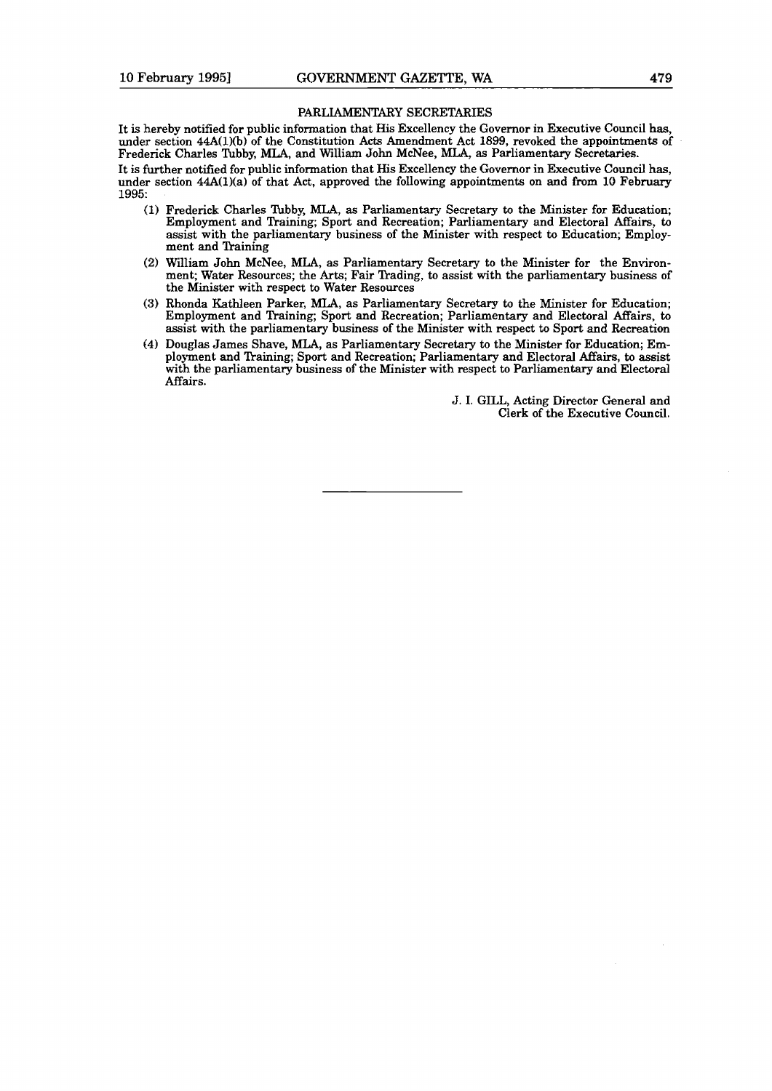## **PARLIAMENTARY SECRETARIES**

It is hereby notified for public information that His Excellency the Governor in Executive Council **has,**  under section  $44A(1)(b)$  of the Constitution Acts Amendment Act 1899, revoked the appointments of Frederick Charles **Tubby, MLA,** and William John McNee, MLA, as Parliamentary Secretaries. It is further notified for public information that His Excellency the Governor in Executive Council has, under section 44A(1)(a) of that Act, approved the following appointments on and from 10 February **1995:** 

- **(1)** Frederick Charles **Tubby, MLA, as** Parliamentary Secretary to the Minister for Education; Employment and Ikaining; Sport and Recreation; Parliamentary and Electoral Affairs, **ta**  assist with the parliamentary business of the Minister with respect to Education; Employment and Training
- (2) WilIiam John McNee, **MLA,** as Parliamentary Secretary to the Minister for the Environment; Water Resources; the Arts; Fair Trading, to assist with the parliamentary business of the Minister with respect to Water Resources
- **(3)** Rhonda Kathleen Parker, MLA, as Parliamentary Secretary to the Minister for Education; Employment and Training; Sport and Recreation; Parliamentary and Electoral Affairs, to assist with the parliamentary business of the Minister with respect to Sport and Recreation
- **(4)** DougIas James Shave, **MLA,** as Parliamentary Secretary to the Minister for Education; Employment and Training; Sport and Recreation; Parliamentary and Electoral Affairs, to assist with the parliamentary business of the Minister with respect to Parliamentary and Electoral Affairs.

J. I. **GILL,** Acting Director General and Clerk of the Executive Council.